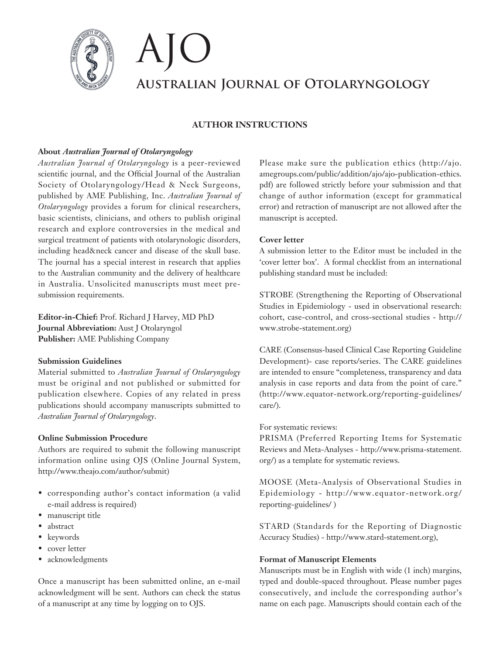

# **Australian Journal of Otolaryngology** AJO

# **AUTHOR INSTRUCTIONS**

# **About** *Australian Journal of Otolaryngology*

*Australian Journal of Otolaryngology* is a peer-reviewed scientific journal, and the Official Journal of the Australian Society of Otolaryngology/Head & Neck Surgeons, published by AME Publishing, Inc. *Australian Journal of Otolaryngology* provides a forum for clinical researchers, basic scientists, clinicians, and others to publish original research and explore controversies in the medical and surgical treatment of patients with otolarynologic disorders, including head&neck cancer and disease of the skull base. The journal has a special interest in research that applies to the Australian community and the delivery of healthcare in Australia. Unsolicited manuscripts must meet presubmission requirements.

**Editor-in-Chief:** Prof. Richard J Harvey, MD PhD **Journal Abbreviation:** Aust J Otolaryngol **Publisher:** AME Publishing Company

# **Submission Guidelines**

Material submitted to *Australian Journal of Otolaryngology* must be original and not published or submitted for publication elsewhere. Copies of any related in press publications should accompany manuscripts submitted to *Australian Journal of Otolaryngology*.

# **Online Submission Procedure**

Authors are required to submit the following manuscript information online using OJS (Online Journal System, http://www.theajo.com/author/submit)

- corresponding author's contact information (a valid e-mail address is required)
- manuscript title
- abstract
- keywords
- cover letter
- acknowledgments

Once a manuscript has been submitted online, an e-mail acknowledgment will be sent. Authors can check the status of a manuscript at any time by logging on to OJS.

Please make sure the publication ethics (http://ajo. amegroups.com/public/addition/ajo/ajo-publication-ethics. pdf) are followed strictly before your submission and that change of author information (except for grammatical error) and retraction of manuscript are not allowed after the manuscript is accepted.

# **Cover letter**

A submission letter to the Editor must be included in the 'cover letter box'. A formal checklist from an international publishing standard must be included:

STROBE (Strengthening the Reporting of Observational Studies in Epidemiology - used in observational research: cohort, case-control, and cross-sectional studies - http:// www.strobe-statement.org)

CARE (Consensus-based Clinical Case Reporting Guideline Development)- case reports/series. The CARE guidelines are intended to ensure "completeness, transparency and data analysis in case reports and data from the point of care." (http://www.equator-network.org/reporting-guidelines/ care/).

# For systematic reviews:

PRISMA (Preferred Reporting Items for Systematic Reviews and Meta-Analyses - http://www.prisma-statement. org/) as a template for systematic reviews.

MOOSE (Meta-Analysis of Observational Studies in Epidemiology - http://www.equator-network.org/ reporting-guidelines/ )

STARD (Standards for the Reporting of Diagnostic Accuracy Studies) - http://www.stard-statement.org),

# **Format of Manuscript Elements**

Manuscripts must be in English with wide (1 inch) margins, typed and double-spaced throughout. Please number pages consecutively, and include the corresponding author's name on each page. Manuscripts should contain each of the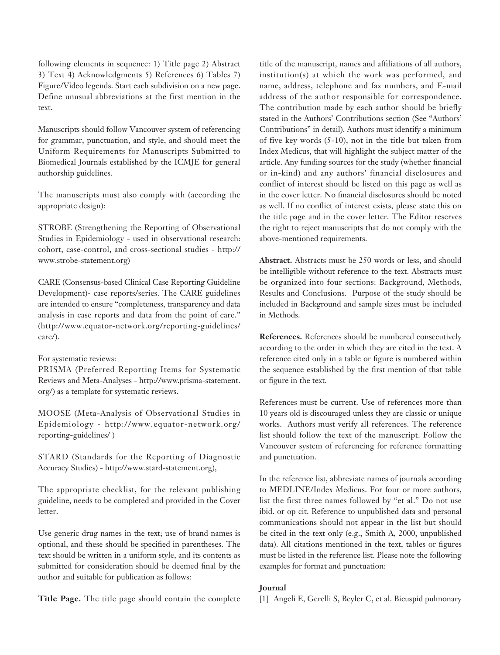following elements in sequence: 1) Title page 2) Abstract 3) Text 4) Acknowledgments 5) References 6) Tables 7) Figure/Video legends. Start each subdivision on a new page. Define unusual abbreviations at the first mention in the text.

Manuscripts should follow Vancouver system of referencing for grammar, punctuation, and style, and should meet the Uniform Requirements for Manuscripts Submitted to Biomedical Journals established by the ICMJE for general authorship guidelines.

The manuscripts must also comply with (according the appropriate design):

STROBE (Strengthening the Reporting of Observational Studies in Epidemiology - used in observational research: cohort, case-control, and cross-sectional studies - http:// www.strobe-statement.org)

CARE (Consensus-based Clinical Case Reporting Guideline Development)- case reports/series. The CARE guidelines are intended to ensure "completeness, transparency and data analysis in case reports and data from the point of care." (http://www.equator-network.org/reporting-guidelines/ care/).

#### For systematic reviews:

PRISMA (Preferred Reporting Items for Systematic Reviews and Meta-Analyses - http://www.prisma-statement. org/) as a template for systematic reviews.

MOOSE (Meta-Analysis of Observational Studies in Epidemiology - http://www.equator-network.org/ reporting-guidelines/ )

STARD (Standards for the Reporting of Diagnostic Accuracy Studies) - http://www.stard-statement.org),

The appropriate checklist, for the relevant publishing guideline, needs to be completed and provided in the Cover letter.

Use generic drug names in the text; use of brand names is optional, and these should be specified in parentheses. The text should be written in a uniform style, and its contents as submitted for consideration should be deemed final by the author and suitable for publication as follows:

**Title Page.** The title page should contain the complete

title of the manuscript, names and affiliations of all authors, institution(s) at which the work was performed, and name, address, telephone and fax numbers, and E-mail address of the author responsible for correspondence. The contribution made by each author should be briefly stated in the Authors' Contributions section (See "Authors' Contributions" in detail). Authors must identify a minimum of five key words (5-10), not in the title but taken from Index Medicus, that will highlight the subject matter of the article. Any funding sources for the study (whether financial or in-kind) and any authors' financial disclosures and conflict of interest should be listed on this page as well as in the cover letter. No financial disclosures should be noted as well. If no conflict of interest exists, please state this on the title page and in the cover letter. The Editor reserves the right to reject manuscripts that do not comply with the above-mentioned requirements.

**Abstract.** Abstracts must be 250 words or less, and should be intelligible without reference to the text. Abstracts must be organized into four sections: Background, Methods, Results and Conclusions. Purpose of the study should be included in Background and sample sizes must be included in Methods.

**References.** References should be numbered consecutively according to the order in which they are cited in the text. A reference cited only in a table or figure is numbered within the sequence established by the first mention of that table or figure in the text.

References must be current. Use of references more than 10 years old is discouraged unless they are classic or unique works. Authors must verify all references. The reference list should follow the text of the manuscript. Follow the Vancouver system of referencing for reference formatting and punctuation.

In the reference list, abbreviate names of journals according to MEDLINE/Index Medicus. For four or more authors, list the first three names followed by "et al." Do not use ibid. or op cit. Reference to unpublished data and personal communications should not appear in the list but should be cited in the text only (e.g., Smith A, 2000, unpublished data). All citations mentioned in the text, tables or figures must be listed in the reference list. Please note the following examples for format and punctuation:

#### **Journal**

[1] Angeli E, Gerelli S, Beyler C, et al. Bicuspid pulmonary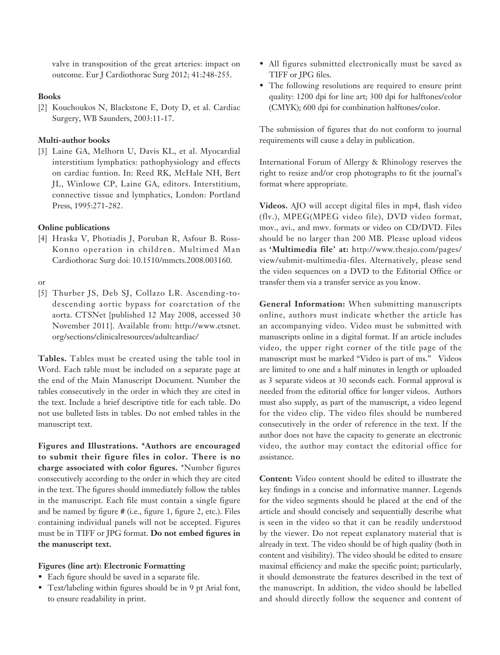valve in transposition of the great arteries: impact on outcome. Eur J Cardiothorac Surg 2012; 41:248-255.

# **Books**

[2] Kouchoukos N, Blackstone E, Doty D, et al. Cardiac Surgery, WB Saunders, 2003:11-17.

# **Multi-author books**

[3] Laine GA, Melhorn U, Davis KL, et al. Myocardial interstitium lymphatics: pathophysiology and effects on cardiac funtion. In: Reed RK, McHale NH, Bert JL, Winlowe CP, Laine GA, editors. Interstitium, connective tissue and lymphatics, London: Portland Press, 1995:271-282.

# **Online publications**

[4] Hraska V, Photiadis J, Poruban R, Asfour B. Ross-Konno operation in children. Multimed Man Cardiothorac Surg doi: 10.1510/mmcts.2008.003160.

## or

[5] Thurber JS, Deb SJ, Collazo LR. Ascending-todescending aortic bypass for coarctation of the aorta. CTSNet [published 12 May 2008, accessed 30 November 2011]. Available from: http://www.ctsnet. org/sections/clinicalresources/adultcardiac/

**Tables.** Tables must be created using the table tool in Word. Each table must be included on a separate page at the end of the Main Manuscript Document. Number the tables consecutively in the order in which they are cited in the text. Include a brief descriptive title for each table. Do not use bulleted lists in tables. Do not embed tables in the manuscript text.

**Figures and Illustrations. \*Authors are encouraged to submit their figure files in color. There is no charge associated with color figures.** \*Number figures consecutively according to the order in which they are cited in the text. The figures should immediately follow the tables in the manuscript. Each file must contain a single figure and be named by figure # (i.e., figure 1, figure 2, etc.). Files containing individual panels will not be accepted. Figures must be in TIFF or JPG format. **Do not embed figures in the manuscript text.**

# **Figures (line art): Electronic Formatting**

- Each figure should be saved in a separate file.
- Text/labeling within figures should be in 9 pt Arial font, to ensure readability in print.
- All figures submitted electronically must be saved as TIFF or JPG files.
- The following resolutions are required to ensure print quality: 1200 dpi for line art; 300 dpi for halftones/color (CMYK); 600 dpi for combination halftones/color.

The submission of figures that do not conform to journal requirements will cause a delay in publication.

International Forum of Allergy & Rhinology reserves the right to resize and/or crop photographs to fit the journal's format where appropriate.

**Videos.** AJO will accept digital files in mp4, flash video (flv.), MPEG(MPEG video file), DVD video format, mov., avi., and mwv. formats or video on CD/DVD. Files should be no larger than 200 MB. Please upload videos as **'Multimedia file' at:** http://www.theajo.com/pages/ view/submit-multimedia-files. Alternatively, please send the video sequences on a DVD to the Editorial Office or transfer them via a transfer service as you know.

**General Information:** When submitting manuscripts online, authors must indicate whether the article has an accompanying video. Video must be submitted with manuscripts online in a digital format. If an article includes video, the upper right corner of the title page of the manuscript must be marked "Video is part of ms." Videos are limited to one and a half minutes in length or uploaded as 3 separate videos at 30 seconds each. Formal approval is needed from the editorial office for longer videos. Authors must also supply, as part of the manuscript, a video legend for the video clip. The video files should be numbered consecutively in the order of reference in the text. If the author does not have the capacity to generate an electronic video, the author may contact the editorial office for assistance.

**Content:** Video content should be edited to illustrate the key findings in a concise and informative manner. Legends for the video segments should be placed at the end of the article and should concisely and sequentially describe what is seen in the video so that it can be readily understood by the viewer. Do not repeat explanatory material that is already in text. The video should be of high quality (both in content and visibility). The video should be edited to ensure maximal efficiency and make the specific point; particularly, it should demonstrate the features described in the text of the manuscript. In addition, the video should be labelled and should directly follow the sequence and content of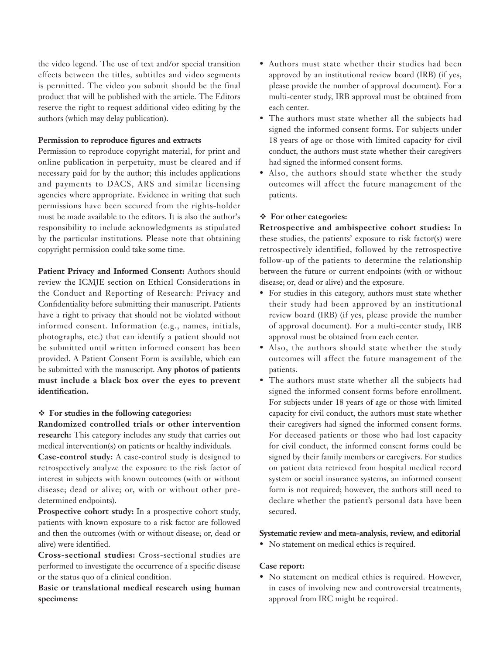the video legend. The use of text and/or special transition effects between the titles, subtitles and video segments is permitted. The video you submit should be the final product that will be published with the article. The Editors reserve the right to request additional video editing by the authors (which may delay publication).

# **Permission to reproduce figures and extracts**

Permission to reproduce copyright material, for print and online publication in perpetuity, must be cleared and if necessary paid for by the author; this includes applications and payments to DACS, ARS and similar licensing agencies where appropriate. Evidence in writing that such permissions have been secured from the rights-holder must be made available to the editors. It is also the author's responsibility to include acknowledgments as stipulated by the particular institutions. Please note that obtaining copyright permission could take some time.

**Patient Privacy and Informed Consent:** Authors should review the ICMJE section on Ethical Considerations in the Conduct and Reporting of Research: Privacy and Confidentiality before submitting their manuscript. Patients have a right to privacy that should not be violated without informed consent. Information (e.g., names, initials, photographs, etc.) that can identify a patient should not be submitted until written informed consent has been provided. A Patient Consent Form is available, which can be submitted with the manuscript. **Any photos of patients must include a black box over the eyes to prevent identification.**

## **For studies in the following categories:**

**Randomized controlled trials or other intervention research:** This category includes any study that carries out medical intervention(s) on patients or healthy individuals.

**Case-control study:** A case-control study is designed to retrospectively analyze the exposure to the risk factor of interest in subjects with known outcomes (with or without disease; dead or alive; or, with or without other predetermined endpoints).

**Prospective cohort study:** In a prospective cohort study, patients with known exposure to a risk factor are followed and then the outcomes (with or without disease; or, dead or alive) were identified.

**Cross-sectional studies:** Cross-sectional studies are performed to investigate the occurrence of a specific disease or the status quo of a clinical condition.

**Basic or translational medical research using human specimens:**

- Authors must state whether their studies had been approved by an institutional review board (IRB) (if yes, please provide the number of approval document). For a multi-center study, IRB approval must be obtained from each center.
- The authors must state whether all the subjects had signed the informed consent forms. For subjects under 18 years of age or those with limited capacity for civil conduct, the authors must state whether their caregivers had signed the informed consent forms.
- Also, the authors should state whether the study outcomes will affect the future management of the patients.

# **For other categories:**

**Retrospective and ambispective cohort studies:** In these studies, the patients' exposure to risk factor(s) were retrospectively identified, followed by the retrospective follow-up of the patients to determine the relationship between the future or current endpoints (with or without disease; or, dead or alive) and the exposure.

- For studies in this category, authors must state whether their study had been approved by an institutional review board (IRB) (if yes, please provide the number of approval document). For a multi-center study, IRB approval must be obtained from each center.
- Also, the authors should state whether the study outcomes will affect the future management of the patients.
- The authors must state whether all the subjects had signed the informed consent forms before enrollment. For subjects under 18 years of age or those with limited capacity for civil conduct, the authors must state whether their caregivers had signed the informed consent forms. For deceased patients or those who had lost capacity for civil conduct, the informed consent forms could be signed by their family members or caregivers. For studies on patient data retrieved from hospital medical record system or social insurance systems, an informed consent form is not required; however, the authors still need to declare whether the patient's personal data have been secured.

## **Systematic review and meta-analysis, review, and editorial**

• No statement on medical ethics is required.

## **Case report:**

• No statement on medical ethics is required. However, in cases of involving new and controversial treatments, approval from IRC might be required.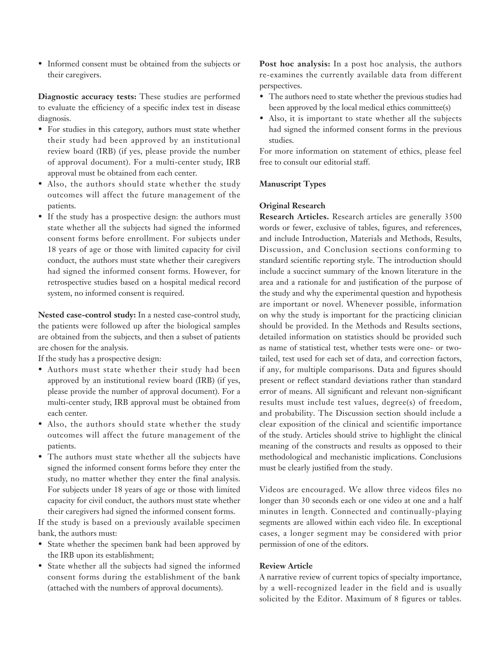• Informed consent must be obtained from the subjects or their caregivers.

**Diagnostic accuracy tests:** These studies are performed to evaluate the efficiency of a specific index test in disease diagnosis.

- For studies in this category, authors must state whether their study had been approved by an institutional review board (IRB) (if yes, please provide the number of approval document). For a multi-center study, IRB approval must be obtained from each center.
- Also, the authors should state whether the study outcomes will affect the future management of the patients.
- If the study has a prospective design: the authors must state whether all the subjects had signed the informed consent forms before enrollment. For subjects under 18 years of age or those with limited capacity for civil conduct, the authors must state whether their caregivers had signed the informed consent forms. However, for retrospective studies based on a hospital medical record system, no informed consent is required.

**Nested case-control study:** In a nested case-control study, the patients were followed up after the biological samples are obtained from the subjects, and then a subset of patients are chosen for the analysis.

If the study has a prospective design:

- Authors must state whether their study had been approved by an institutional review board (IRB) (if yes, please provide the number of approval document). For a multi-center study, IRB approval must be obtained from each center.
- Also, the authors should state whether the study outcomes will affect the future management of the patients.
- The authors must state whether all the subjects have signed the informed consent forms before they enter the study, no matter whether they enter the final analysis. For subjects under 18 years of age or those with limited capacity for civil conduct, the authors must state whether their caregivers had signed the informed consent forms.

If the study is based on a previously available specimen bank, the authors must:

- State whether the specimen bank had been approved by the IRB upon its establishment;
- State whether all the subjects had signed the informed consent forms during the establishment of the bank (attached with the numbers of approval documents).

**Post hoc analysis:** In a post hoc analysis, the authors re-examines the currently available data from different perspectives.

- The authors need to state whether the previous studies had been approved by the local medical ethics committee(s)
- Also, it is important to state whether all the subjects had signed the informed consent forms in the previous studies.

For more information on statement of ethics, please feel free to consult our editorial staff.

# **Manuscript Types**

## **Original Research**

**Research Articles.** Research articles are generally 3500 words or fewer, exclusive of tables, figures, and references, and include Introduction, Materials and Methods, Results, Discussion, and Conclusion sections conforming to standard scientific reporting style. The introduction should include a succinct summary of the known literature in the area and a rationale for and justification of the purpose of the study and why the experimental question and hypothesis are important or novel. Whenever possible, information on why the study is important for the practicing clinician should be provided. In the Methods and Results sections, detailed information on statistics should be provided such as name of statistical test, whether tests were one- or twotailed, test used for each set of data, and correction factors, if any, for multiple comparisons. Data and figures should present or reflect standard deviations rather than standard error of means. All significant and relevant non-significant results must include test values, degree(s) of freedom, and probability. The Discussion section should include a clear exposition of the clinical and scientific importance of the study. Articles should strive to highlight the clinical meaning of the constructs and results as opposed to their methodological and mechanistic implications. Conclusions must be clearly justified from the study.

Videos are encouraged. We allow three videos files no longer than 30 seconds each or one video at one and a half minutes in length. Connected and continually-playing segments are allowed within each video file. In exceptional cases, a longer segment may be considered with prior permission of one of the editors.

# **Review Article**

A narrative review of current topics of specialty importance, by a well-recognized leader in the field and is usually solicited by the Editor. Maximum of 8 figures or tables.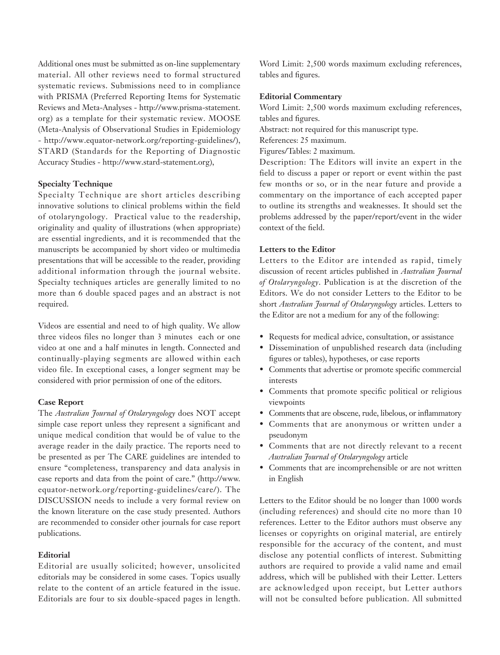Additional ones must be submitted as on-line supplementary material. All other reviews need to formal structured systematic reviews. Submissions need to in compliance with PRISMA (Preferred Reporting Items for Systematic Reviews and Meta-Analyses - http://www.prisma-statement. org) as a template for their systematic review. MOOSE (Meta-Analysis of Observational Studies in Epidemiology - http://www.equator-network.org/reporting-guidelines/), STARD (Standards for the Reporting of Diagnostic Accuracy Studies - http://www.stard-statement.org),

#### **Specialty Technique**

Specialty Technique are short articles describing innovative solutions to clinical problems within the field of otolaryngology. Practical value to the readership, originality and quality of illustrations (when appropriate) are essential ingredients, and it is recommended that the manuscripts be accompanied by short video or multimedia presentations that will be accessible to the reader, providing additional information through the journal website. Specialty techniques articles are generally limited to no more than 6 double spaced pages and an abstract is not required.

Videos are essential and need to of high quality. We allow three videos files no longer than 3 minutes each or one video at one and a half minutes in length. Connected and continually-playing segments are allowed within each video file. In exceptional cases, a longer segment may be considered with prior permission of one of the editors.

### **Case Report**

The *Australian Journal of Otolaryngology* does NOT accept simple case report unless they represent a significant and unique medical condition that would be of value to the average reader in the daily practice. The reports need to be presented as per The CARE guidelines are intended to ensure "completeness, transparency and data analysis in case reports and data from the point of care." (http://www. equator-network.org/reporting-guidelines/care/). The DISCUSSION needs to include a very formal review on the known literature on the case study presented. Authors are recommended to consider other journals for case report publications.

## **Editorial**

Editorial are usually solicited; however, unsolicited editorials may be considered in some cases. Topics usually relate to the content of an article featured in the issue. Editorials are four to six double-spaced pages in length.

Word Limit: 2,500 words maximum excluding references, tables and figures.

#### **Editorial Commentary**

Word Limit: 2,500 words maximum excluding references, tables and figures.

Abstract: not required for this manuscript type.

References: 25 maximum.

Figures/Tables: 2 maximum.

Description: The Editors will invite an expert in the field to discuss a paper or report or event within the past few months or so, or in the near future and provide a commentary on the importance of each accepted paper to outline its strengths and weaknesses. It should set the problems addressed by the paper/report/event in the wider context of the field.

#### **Letters to the Editor**

Letters to the Editor are intended as rapid, timely discussion of recent articles published in *Australian Journal of Otolaryngology*. Publication is at the discretion of the Editors. We do not consider Letters to the Editor to be short *Australian Journal of Otolaryngology* articles. Letters to the Editor are not a medium for any of the following:

- Requests for medical advice, consultation, or assistance
- Dissemination of unpublished research data (including figures or tables), hypotheses, or case reports
- Comments that advertise or promote specific commercial interests
- Comments that promote specific political or religious viewpoints
- Comments that are obscene, rude, libelous, or inflammatory
- Comments that are anonymous or written under a pseudonym
- Comments that are not directly relevant to a recent *Australian Journal of Otolaryngology* article
- Comments that are incomprehensible or are not written in English

Letters to the Editor should be no longer than 1000 words (including references) and should cite no more than 10 references. Letter to the Editor authors must observe any licenses or copyrights on original material, are entirely responsible for the accuracy of the content, and must disclose any potential conflicts of interest. Submitting authors are required to provide a valid name and email address, which will be published with their Letter. Letters are acknowledged upon receipt, but Letter authors will not be consulted before publication. All submitted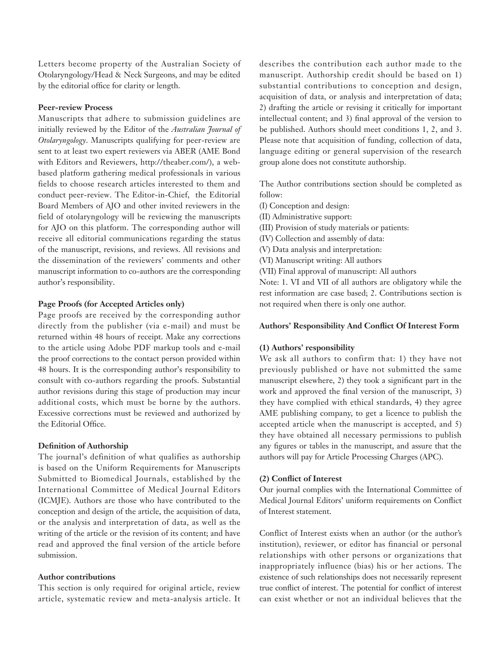Letters become property of the Australian Society of Otolaryngology/Head & Neck Surgeons, and may be edited by the editorial office for clarity or length.

# **Peer-review Process**

Manuscripts that adhere to submission guidelines are initially reviewed by the Editor of the *Australian Journal of Otolaryngology*. Manuscripts qualifying for peer-review are sent to at least two expert reviewers via ABER (AME Bond with Editors and Reviewers, http://theaber.com/), a webbased platform gathering medical professionals in various fields to choose research articles interested to them and conduct peer-review. The Editor-in-Chief, the Editorial Board Members of AJO and other invited reviewers in the field of otolaryngology will be reviewing the manuscripts for AJO on this platform. The corresponding author will receive all editorial communications regarding the status of the manuscript, revisions, and reviews. All revisions and the dissemination of the reviewers' comments and other manuscript information to co-authors are the corresponding author's responsibility.

# **Page Proofs (for Accepted Articles only)**

Page proofs are received by the corresponding author directly from the publisher (via e-mail) and must be returned within 48 hours of receipt. Make any corrections to the article using Adobe PDF markup tools and e-mail the proof corrections to the contact person provided within 48 hours. It is the corresponding author's responsibility to consult with co-authors regarding the proofs. Substantial author revisions during this stage of production may incur additional costs, which must be borne by the authors. Excessive corrections must be reviewed and authorized by the Editorial Office.

#### **Definition of Authorship**

The journal's definition of what qualifies as authorship is based on the Uniform Requirements for Manuscripts Submitted to Biomedical Journals, established by the International Committee of Medical Journal Editors (ICMJE). Authors are those who have contributed to the conception and design of the article, the acquisition of data, or the analysis and interpretation of data, as well as the writing of the article or the revision of its content; and have read and approved the final version of the article before submission.

# **Author contributions**

This section is only required for original article, review article, systematic review and meta-analysis article. It describes the contribution each author made to the manuscript. Authorship credit should be based on 1) substantial contributions to conception and design, acquisition of data, or analysis and interpretation of data; 2) drafting the article or revising it critically for important intellectual content; and 3) final approval of the version to be published. Authors should meet conditions 1, 2, and 3. Please note that acquisition of funding, collection of data, language editing or general supervision of the research group alone does not constitute authorship.

The Author contributions section should be completed as follow:

- (I) Conception and design:
- (II) Administrative support:
- (III) Provision of study materials or patients:
- (IV) Collection and assembly of data:
- (V) Data analysis and interpretation:
- (VI) Manuscript writing: All authors
- (VII) Final approval of manuscript: All authors

Note: 1. VI and VII of all authors are obligatory while the rest information are case based; 2. Contributions section is not required when there is only one author.

#### **Authors' Responsibility And Conflict Of Interest Form**

#### **(1) Authors' responsibility**

We ask all authors to confirm that: 1) they have not previously published or have not submitted the same manuscript elsewhere, 2) they took a significant part in the work and approved the final version of the manuscript, 3) they have complied with ethical standards, 4) they agree AME publishing company, to get a licence to publish the accepted article when the manuscript is accepted, and 5) they have obtained all necessary permissions to publish any figures or tables in the manuscript, and assure that the authors will pay for Article Processing Charges (APC).

#### **(2) Conflict of Interest**

Our journal complies with the International Committee of Medical Journal Editors' uniform requirements on Conflict of Interest statement.

Conflict of Interest exists when an author (or the author's institution), reviewer, or editor has financial or personal relationships with other persons or organizations that inappropriately influence (bias) his or her actions. The existence of such relationships does not necessarily represent true conflict of interest. The potential for conflict of interest can exist whether or not an individual believes that the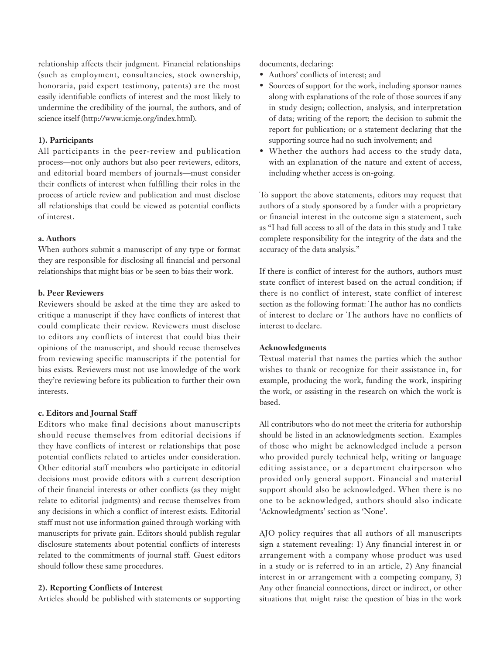relationship affects their judgment. Financial relationships (such as employment, consultancies, stock ownership, honoraria, paid expert testimony, patents) are the most easily identifiable conflicts of interest and the most likely to undermine the credibility of the journal, the authors, and of science itself (http://www.icmje.org/index.html).

# **1). Participants**

All participants in the peer-review and publication process—not only authors but also peer reviewers, editors, and editorial board members of journals—must consider their conflicts of interest when fulfilling their roles in the process of article review and publication and must disclose all relationships that could be viewed as potential conflicts of interest.

# **a. Authors**

When authors submit a manuscript of any type or format they are responsible for disclosing all financial and personal relationships that might bias or be seen to bias their work.

#### **b. Peer Reviewers**

Reviewers should be asked at the time they are asked to critique a manuscript if they have conflicts of interest that could complicate their review. Reviewers must disclose to editors any conflicts of interest that could bias their opinions of the manuscript, and should recuse themselves from reviewing specific manuscripts if the potential for bias exists. Reviewers must not use knowledge of the work they're reviewing before its publication to further their own interests.

#### **c. Editors and Journal Staff**

Editors who make final decisions about manuscripts should recuse themselves from editorial decisions if they have conflicts of interest or relationships that pose potential conflicts related to articles under consideration. Other editorial staff members who participate in editorial decisions must provide editors with a current description of their financial interests or other conflicts (as they might relate to editorial judgments) and recuse themselves from any decisions in which a conflict of interest exists. Editorial staff must not use information gained through working with manuscripts for private gain. Editors should publish regular disclosure statements about potential conflicts of interests related to the commitments of journal staff. Guest editors should follow these same procedures.

# **2). Reporting Conflicts of Interest**

Articles should be published with statements or supporting

documents, declaring:

- Authors' conflicts of interest; and
- Sources of support for the work, including sponsor names along with explanations of the role of those sources if any in study design; collection, analysis, and interpretation of data; writing of the report; the decision to submit the report for publication; or a statement declaring that the supporting source had no such involvement; and
- Whether the authors had access to the study data, with an explanation of the nature and extent of access, including whether access is on-going.

To support the above statements, editors may request that authors of a study sponsored by a funder with a proprietary or financial interest in the outcome sign a statement, such as "I had full access to all of the data in this study and I take complete responsibility for the integrity of the data and the accuracy of the data analysis."

If there is conflict of interest for the authors, authors must state conflict of interest based on the actual condition; if there is no conflict of interest, state conflict of interest section as the following format: The author has no conflicts of interest to declare or The authors have no conflicts of interest to declare.

# **Acknowledgments**

Textual material that names the parties which the author wishes to thank or recognize for their assistance in, for example, producing the work, funding the work, inspiring the work, or assisting in the research on which the work is based.

All contributors who do not meet the criteria for authorship should be listed in an acknowledgments section. Examples of those who might be acknowledged include a person who provided purely technical help, writing or language editing assistance, or a department chairperson who provided only general support. Financial and material support should also be acknowledged. When there is no one to be acknowledged, authors should also indicate 'Acknowledgments' section as 'None'.

AJO policy requires that all authors of all manuscripts sign a statement revealing: 1) Any financial interest in or arrangement with a company whose product was used in a study or is referred to in an article, 2) Any financial interest in or arrangement with a competing company, 3) Any other financial connections, direct or indirect, or other situations that might raise the question of bias in the work